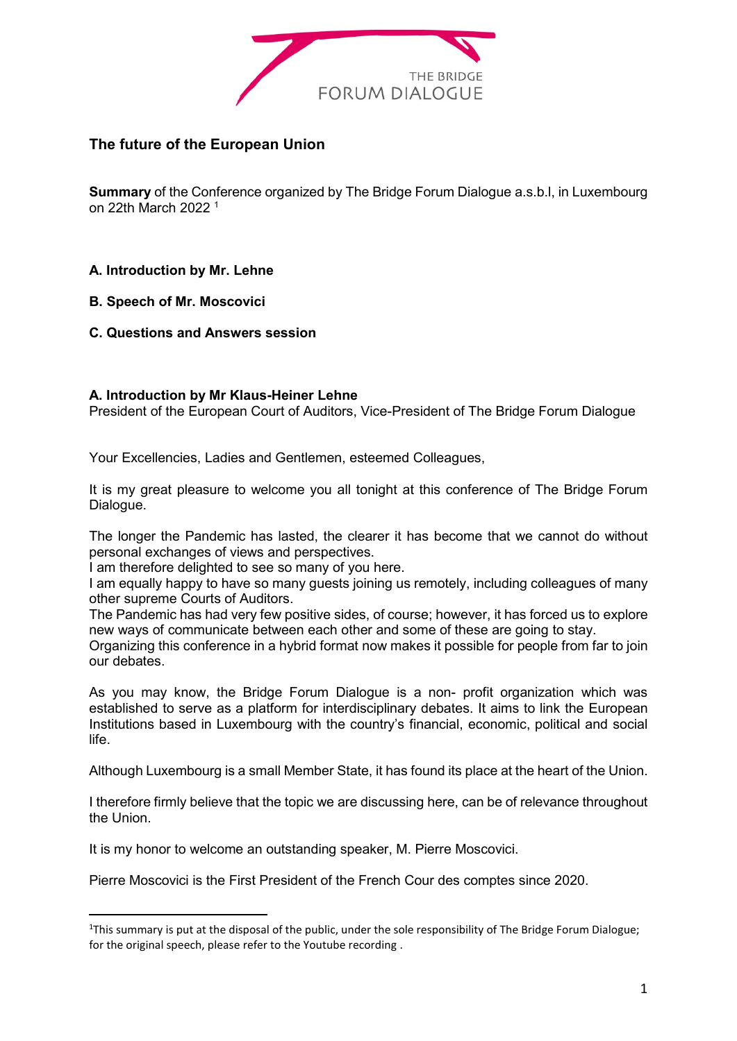

# **The future of the European Union**

**Summary** of the Conference organized by The Bridge Forum Dialogue a.s.b.l, in Luxembourg on 22th March 2022 <sup>1</sup>

# **A. Introduction by Mr. Lehne**

**B. Speech of Mr. Moscovici**

-

**C. Questions and Answers session**

#### **A. Introduction by Mr Klaus-Heiner Lehne**

President of the European Court of Auditors, Vice-President of The Bridge Forum Dialogue

Your Excellencies, Ladies and Gentlemen, esteemed Colleagues,

It is my great pleasure to welcome you all tonight at this conference of The Bridge Forum Dialogue.

The longer the Pandemic has lasted, the clearer it has become that we cannot do without personal exchanges of views and perspectives.

I am therefore delighted to see so many of you here.

I am equally happy to have so many guests joining us remotely, including colleagues of many other supreme Courts of Auditors.

The Pandemic has had very few positive sides, of course; however, it has forced us to explore new ways of communicate between each other and some of these are going to stay.

Organizing this conference in a hybrid format now makes it possible for people from far to join our debates.

As you may know, the Bridge Forum Dialogue is a non- profit organization which was established to serve as a platform for interdisciplinary debates. It aims to link the European Institutions based in Luxembourg with the country's financial, economic, political and social life.

Although Luxembourg is a small Member State, it has found its place at the heart of the Union.

I therefore firmly believe that the topic we are discussing here, can be of relevance throughout the Union.

It is my honor to welcome an outstanding speaker, M. Pierre Moscovici.

Pierre Moscovici is the First President of the French Cour des comptes since 2020.

 $1$ This summary is put at the disposal of the public, under the sole responsibility of The Bridge Forum Dialogue; for the original speech, please refer to the Youtube recording .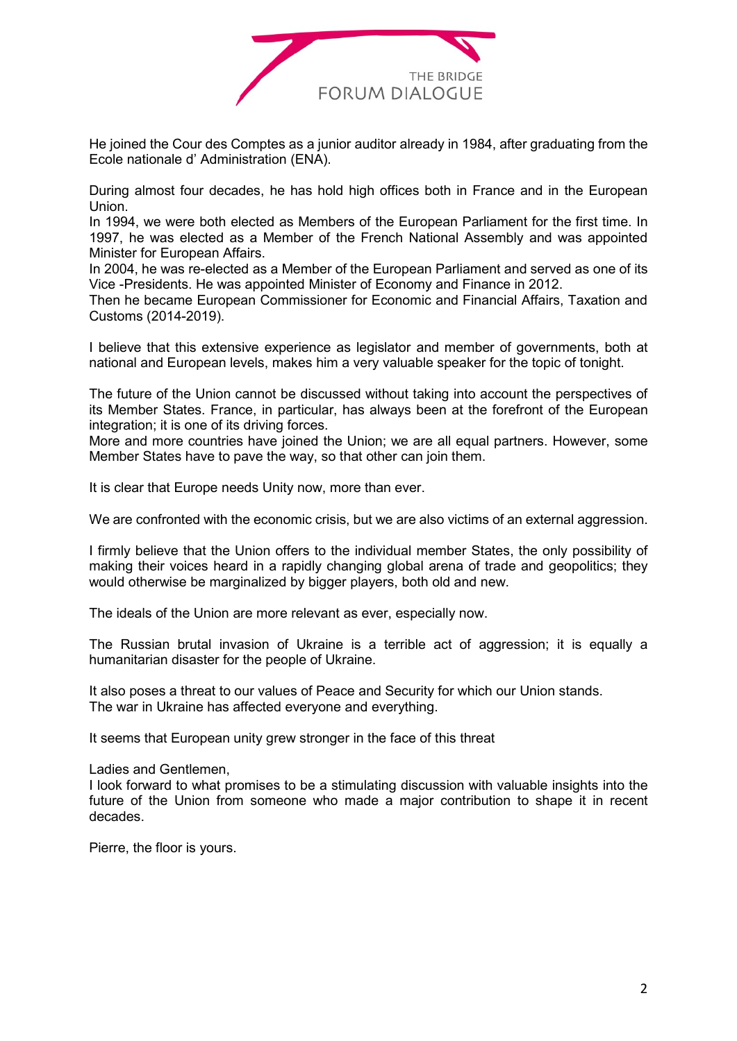

He joined the Cour des Comptes as a junior auditor already in 1984, after graduating from the Ecole nationale d' Administration (ENA).

During almost four decades, he has hold high offices both in France and in the European Union.

In 1994, we were both elected as Members of the European Parliament for the first time. In 1997, he was elected as a Member of the French National Assembly and was appointed Minister for European Affairs.

In 2004, he was re-elected as a Member of the European Parliament and served as one of its Vice -Presidents. He was appointed Minister of Economy and Finance in 2012.

Then he became European Commissioner for Economic and Financial Affairs, Taxation and Customs (2014-2019).

I believe that this extensive experience as legislator and member of governments, both at national and European levels, makes him a very valuable speaker for the topic of tonight.

The future of the Union cannot be discussed without taking into account the perspectives of its Member States. France, in particular, has always been at the forefront of the European integration; it is one of its driving forces.

More and more countries have joined the Union; we are all equal partners. However, some Member States have to pave the way, so that other can join them.

It is clear that Europe needs Unity now, more than ever.

We are confronted with the economic crisis, but we are also victims of an external aggression.

I firmly believe that the Union offers to the individual member States, the only possibility of making their voices heard in a rapidly changing global arena of trade and geopolitics; they would otherwise be marginalized by bigger players, both old and new.

The ideals of the Union are more relevant as ever, especially now.

The Russian brutal invasion of Ukraine is a terrible act of aggression; it is equally a humanitarian disaster for the people of Ukraine.

It also poses a threat to our values of Peace and Security for which our Union stands. The war in Ukraine has affected everyone and everything.

It seems that European unity grew stronger in the face of this threat

Ladies and Gentlemen,

I look forward to what promises to be a stimulating discussion with valuable insights into the future of the Union from someone who made a major contribution to shape it in recent decades.

Pierre, the floor is yours.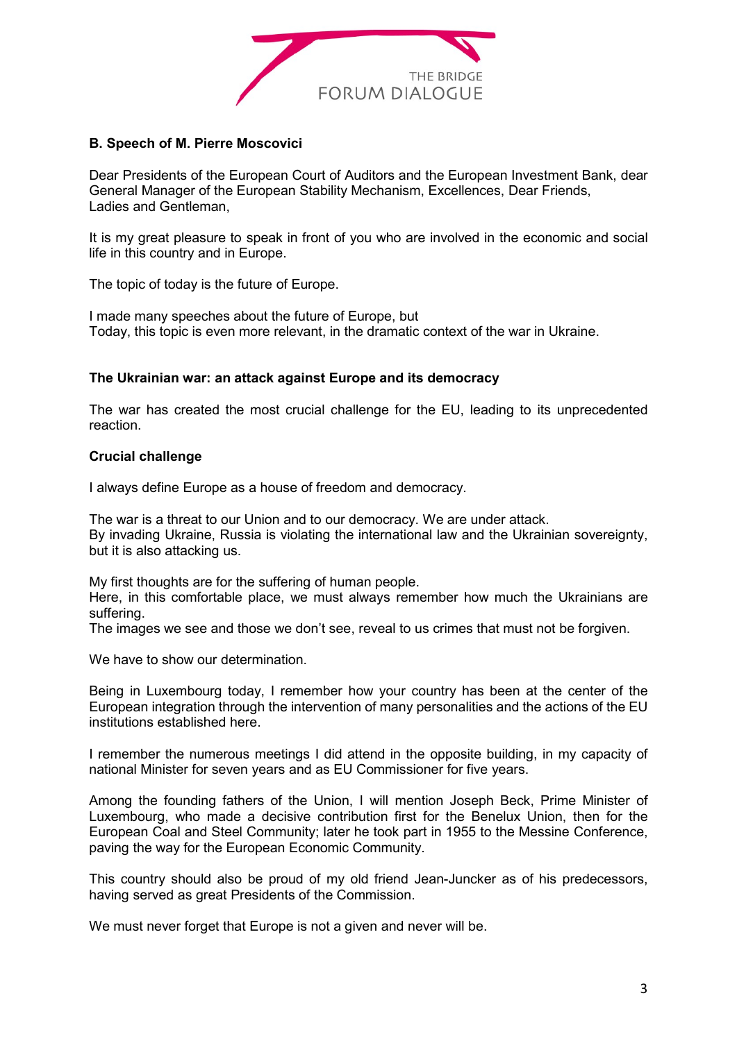

# **B. Speech of M. Pierre Moscovici**

Dear Presidents of the European Court of Auditors and the European Investment Bank, dear General Manager of the European Stability Mechanism, Excellences, Dear Friends, Ladies and Gentleman,

It is my great pleasure to speak in front of you who are involved in the economic and social life in this country and in Europe.

The topic of today is the future of Europe.

I made many speeches about the future of Europe, but Today, this topic is even more relevant, in the dramatic context of the war in Ukraine.

# **The Ukrainian war: an attack against Europe and its democracy**

The war has created the most crucial challenge for the EU, leading to its unprecedented reaction.

# **Crucial challenge**

I always define Europe as a house of freedom and democracy.

The war is a threat to our Union and to our democracy. We are under attack. By invading Ukraine, Russia is violating the international law and the Ukrainian sovereignty, but it is also attacking us.

My first thoughts are for the suffering of human people.

Here, in this comfortable place, we must always remember how much the Ukrainians are suffering.

The images we see and those we don't see, reveal to us crimes that must not be forgiven.

We have to show our determination

Being in Luxembourg today, I remember how your country has been at the center of the European integration through the intervention of many personalities and the actions of the EU institutions established here.

I remember the numerous meetings I did attend in the opposite building, in my capacity of national Minister for seven years and as EU Commissioner for five years.

Among the founding fathers of the Union, I will mention Joseph Beck, Prime Minister of Luxembourg, who made a decisive contribution first for the Benelux Union, then for the European Coal and Steel Community; later he took part in 1955 to the Messine Conference, paving the way for the European Economic Community.

This country should also be proud of my old friend Jean-Juncker as of his predecessors, having served as great Presidents of the Commission.

We must never forget that Europe is not a given and never will be.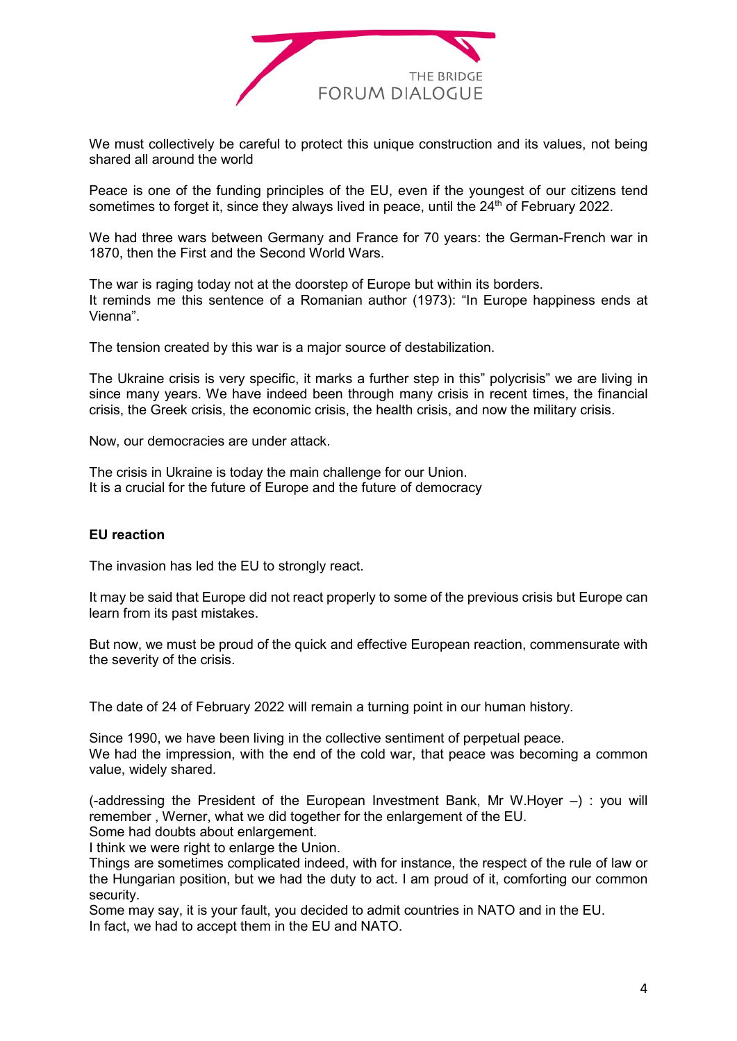

We must collectively be careful to protect this unique construction and its values, not being shared all around the world

Peace is one of the funding principles of the EU, even if the youngest of our citizens tend sometimes to forget it, since they always lived in peace, until the  $24<sup>th</sup>$  of February 2022.

We had three wars between Germany and France for 70 years: the German-French war in 1870, then the First and the Second World Wars.

The war is raging today not at the doorstep of Europe but within its borders. It reminds me this sentence of a Romanian author (1973): "In Europe happiness ends at Vienna".

The tension created by this war is a major source of destabilization.

The Ukraine crisis is very specific, it marks a further step in this" polycrisis" we are living in since many years. We have indeed been through many crisis in recent times, the financial crisis, the Greek crisis, the economic crisis, the health crisis, and now the military crisis.

Now, our democracies are under attack.

The crisis in Ukraine is today the main challenge for our Union. It is a crucial for the future of Europe and the future of democracy

# **EU reaction**

The invasion has led the EU to strongly react.

It may be said that Europe did not react properly to some of the previous crisis but Europe can learn from its past mistakes.

But now, we must be proud of the quick and effective European reaction, commensurate with the severity of the crisis.

The date of 24 of February 2022 will remain a turning point in our human history.

Since 1990, we have been living in the collective sentiment of perpetual peace. We had the impression, with the end of the cold war, that peace was becoming a common value, widely shared.

(-addressing the President of the European Investment Bank, Mr W.Hoyer –) : you will remember , Werner, what we did together for the enlargement of the EU.

Some had doubts about enlargement.

I think we were right to enlarge the Union.

Things are sometimes complicated indeed, with for instance, the respect of the rule of law or the Hungarian position, but we had the duty to act. I am proud of it, comforting our common security.

Some may say, it is your fault, you decided to admit countries in NATO and in the EU. In fact, we had to accept them in the EU and NATO.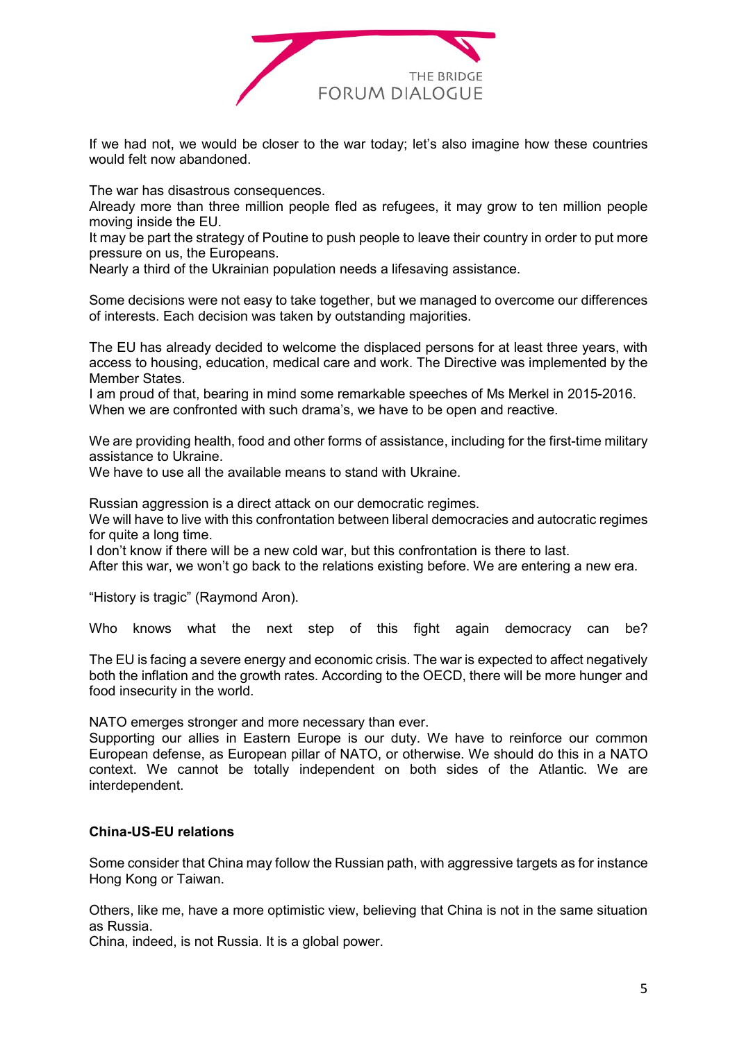

If we had not, we would be closer to the war today; let's also imagine how these countries would felt now abandoned.

The war has disastrous consequences.

Already more than three million people fled as refugees, it may grow to ten million people moving inside the EU.

It may be part the strategy of Poutine to push people to leave their country in order to put more pressure on us, the Europeans.

Nearly a third of the Ukrainian population needs a lifesaving assistance.

Some decisions were not easy to take together, but we managed to overcome our differences of interests. Each decision was taken by outstanding majorities.

The EU has already decided to welcome the displaced persons for at least three years, with access to housing, education, medical care and work. The Directive was implemented by the Member States.

I am proud of that, bearing in mind some remarkable speeches of Ms Merkel in 2015-2016. When we are confronted with such drama's, we have to be open and reactive.

We are providing health, food and other forms of assistance, including for the first-time military assistance to Ukraine.

We have to use all the available means to stand with Ukraine.

Russian aggression is a direct attack on our democratic regimes.

We will have to live with this confrontation between liberal democracies and autocratic regimes for quite a long time.

I don't know if there will be a new cold war, but this confrontation is there to last.

After this war, we won't go back to the relations existing before. We are entering a new era.

"History is tragic" (Raymond Aron).

Who knows what the next step of this fight again democracy can be?

The EU is facing a severe energy and economic crisis. The war is expected to affect negatively both the inflation and the growth rates. According to the OECD, there will be more hunger and food insecurity in the world.

NATO emerges stronger and more necessary than ever.

Supporting our allies in Eastern Europe is our duty. We have to reinforce our common European defense, as European pillar of NATO, or otherwise. We should do this in a NATO context. We cannot be totally independent on both sides of the Atlantic. We are interdependent.

# **China-US-EU relations**

Some consider that China may follow the Russian path, with aggressive targets as for instance Hong Kong or Taiwan.

Others, like me, have a more optimistic view, believing that China is not in the same situation as Russia.

China, indeed, is not Russia. It is a global power.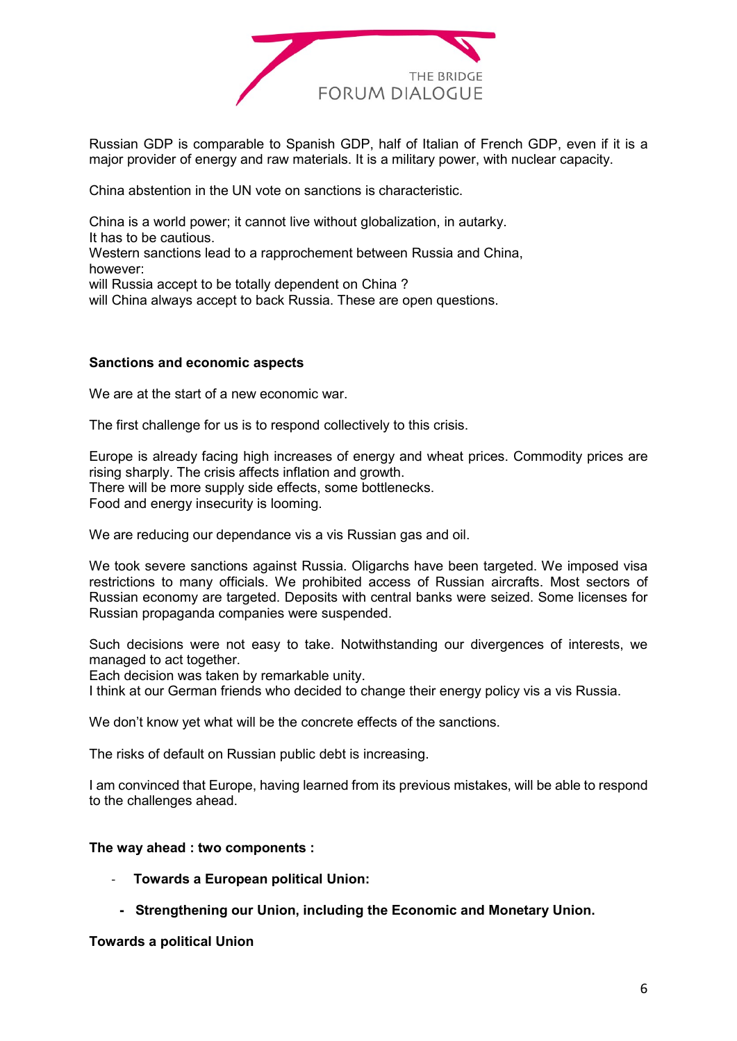

Russian GDP is comparable to Spanish GDP, half of Italian of French GDP, even if it is a major provider of energy and raw materials. It is a military power, with nuclear capacity.

China abstention in the UN vote on sanctions is characteristic.

China is a world power; it cannot live without globalization, in autarky. It has to be cautious. Western sanctions lead to a rapprochement between Russia and China, however: will Russia accept to be totally dependent on China ? will China always accept to back Russia. These are open questions.

# **Sanctions and economic aspects**

We are at the start of a new economic war.

The first challenge for us is to respond collectively to this crisis.

Europe is already facing high increases of energy and wheat prices. Commodity prices are rising sharply. The crisis affects inflation and growth. There will be more supply side effects, some bottlenecks. Food and energy insecurity is looming.

We are reducing our dependance vis a vis Russian gas and oil.

We took severe sanctions against Russia. Oligarchs have been targeted. We imposed visa restrictions to many officials. We prohibited access of Russian aircrafts. Most sectors of Russian economy are targeted. Deposits with central banks were seized. Some licenses for Russian propaganda companies were suspended.

Such decisions were not easy to take. Notwithstanding our divergences of interests, we managed to act together.

Each decision was taken by remarkable unity.

I think at our German friends who decided to change their energy policy vis a vis Russia.

We don't know yet what will be the concrete effects of the sanctions.

The risks of default on Russian public debt is increasing.

I am convinced that Europe, having learned from its previous mistakes, will be able to respond to the challenges ahead.

#### **The way ahead : two components :**

- **Towards a European political Union:** 
	- **Strengthening our Union, including the Economic and Monetary Union.**

**Towards a political Union**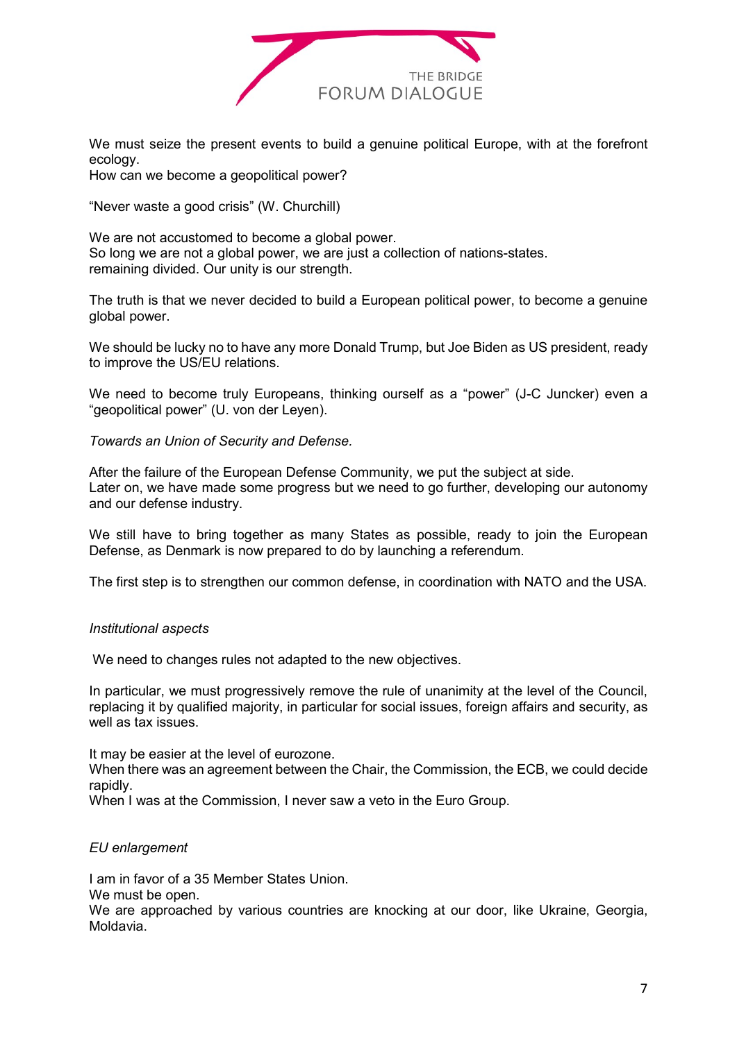

We must seize the present events to build a genuine political Europe, with at the forefront ecology.

How can we become a geopolitical power?

"Never waste a good crisis" (W. Churchill)

We are not accustomed to become a global power. So long we are not a global power, we are just a collection of nations-states. remaining divided. Our unity is our strength.

The truth is that we never decided to build a European political power, to become a genuine global power.

We should be lucky no to have any more Donald Trump, but Joe Biden as US president, ready to improve the US/EU relations.

We need to become truly Europeans, thinking ourself as a "power" (J-C Juncker) even a "geopolitical power" (U. von der Leyen).

*Towards an Union of Security and Defense.*

After the failure of the European Defense Community, we put the subject at side. Later on, we have made some progress but we need to go further, developing our autonomy and our defense industry.

We still have to bring together as many States as possible, ready to join the European Defense, as Denmark is now prepared to do by launching a referendum.

The first step is to strengthen our common defense, in coordination with NATO and the USA.

# *Institutional aspects*

We need to changes rules not adapted to the new objectives.

In particular, we must progressively remove the rule of unanimity at the level of the Council, replacing it by qualified majority, in particular for social issues, foreign affairs and security, as well as tax issues.

It may be easier at the level of eurozone.

When there was an agreement between the Chair, the Commission, the ECB, we could decide rapidly.

When I was at the Commission, I never saw a veto in the Euro Group.

# *EU enlargement*

I am in favor of a 35 Member States Union.

We must be open.

We are approached by various countries are knocking at our door, like Ukraine, Georgia, Moldavia.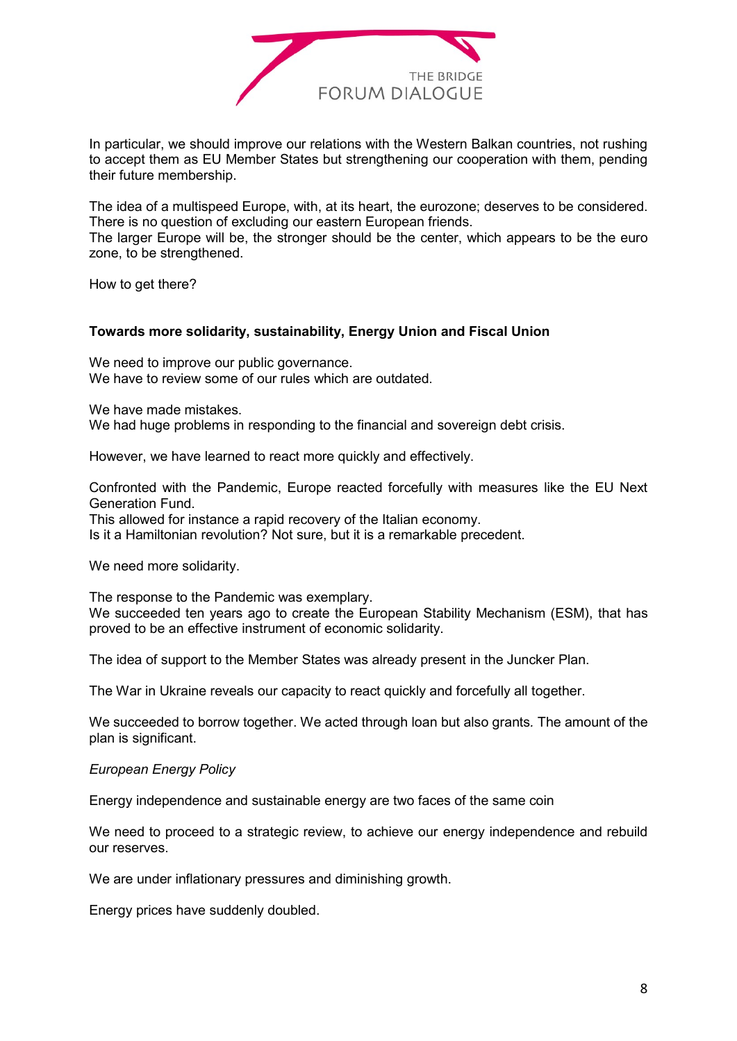

In particular, we should improve our relations with the Western Balkan countries, not rushing to accept them as EU Member States but strengthening our cooperation with them, pending their future membership.

The idea of a multispeed Europe, with, at its heart, the eurozone; deserves to be considered. There is no question of excluding our eastern European friends.

The larger Europe will be, the stronger should be the center, which appears to be the euro zone, to be strengthened.

How to get there?

#### **Towards more solidarity, sustainability, Energy Union and Fiscal Union**

We need to improve our public governance. We have to review some of our rules which are outdated.

We have made mistakes.

We had huge problems in responding to the financial and sovereign debt crisis.

However, we have learned to react more quickly and effectively.

Confronted with the Pandemic, Europe reacted forcefully with measures like the EU Next Generation Fund.

This allowed for instance a rapid recovery of the Italian economy.

Is it a Hamiltonian revolution? Not sure, but it is a remarkable precedent.

We need more solidarity.

The response to the Pandemic was exemplary. We succeeded ten years ago to create the European Stability Mechanism (ESM), that has proved to be an effective instrument of economic solidarity.

The idea of support to the Member States was already present in the Juncker Plan.

The War in Ukraine reveals our capacity to react quickly and forcefully all together.

We succeeded to borrow together. We acted through loan but also grants*.* The amount of the plan is significant.

#### *European Energy Policy*

Energy independence and sustainable energy are two faces of the same coin

We need to proceed to a strategic review, to achieve our energy independence and rebuild our reserves.

We are under inflationary pressures and diminishing growth.

Energy prices have suddenly doubled.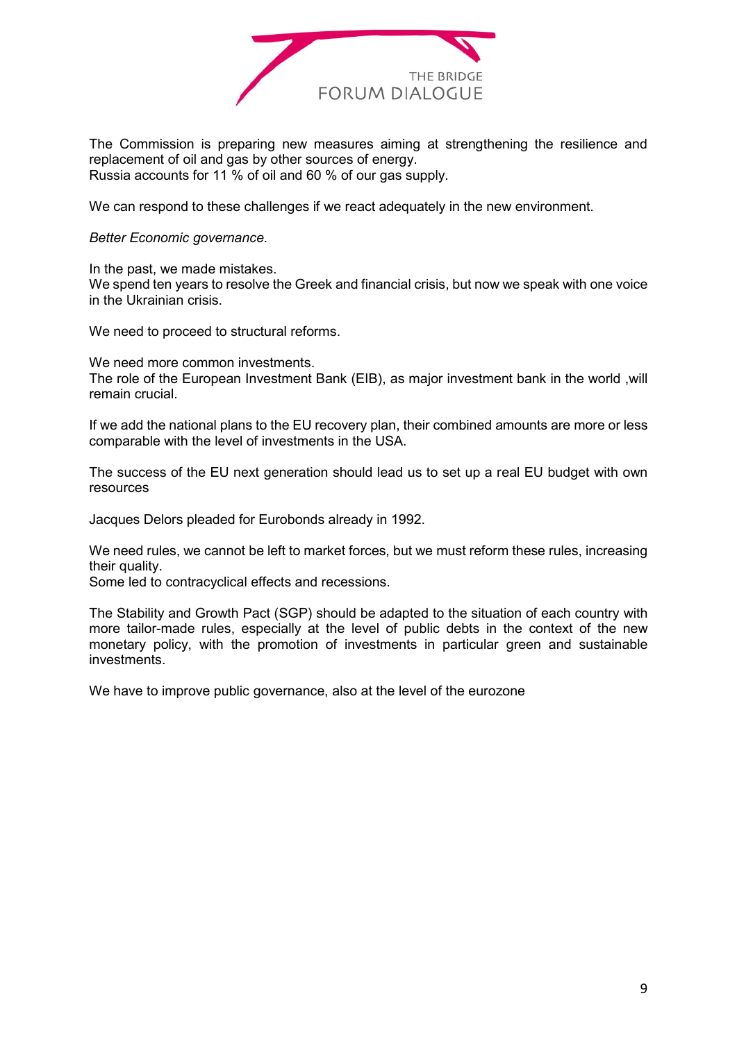

The Commission is preparing new measures aiming at strengthening the resilience and replacement of oil and gas by other sources of energy. Russia accounts for 11 % of oil and 60 % of our gas supply.

We can respond to these challenges if we react adequately in the new environment.

*Better Economic governance.*

In the past, we made mistakes.

We spend ten years to resolve the Greek and financial crisis, but now we speak with one voice in the Ukrainian crisis.

We need to proceed to structural reforms.

We need more common investments.

The role of the European Investment Bank (EIB), as major investment bank in the world ,will remain crucial.

If we add the national plans to the EU recovery plan, their combined amounts are more or less comparable with the level of investments in the USA.

The success of the EU next generation should lead us to set up a real EU budget with own resources

Jacques Delors pleaded for Eurobonds already in 1992.

We need rules, we cannot be left to market forces, but we must reform these rules, increasing their quality.

Some led to contracyclical effects and recessions.

The Stability and Growth Pact (SGP) should be adapted to the situation of each country with more tailor-made rules, especially at the level of public debts in the context of the new monetary policy, with the promotion of investments in particular green and sustainable investments.

We have to improve public governance, also at the level of the eurozone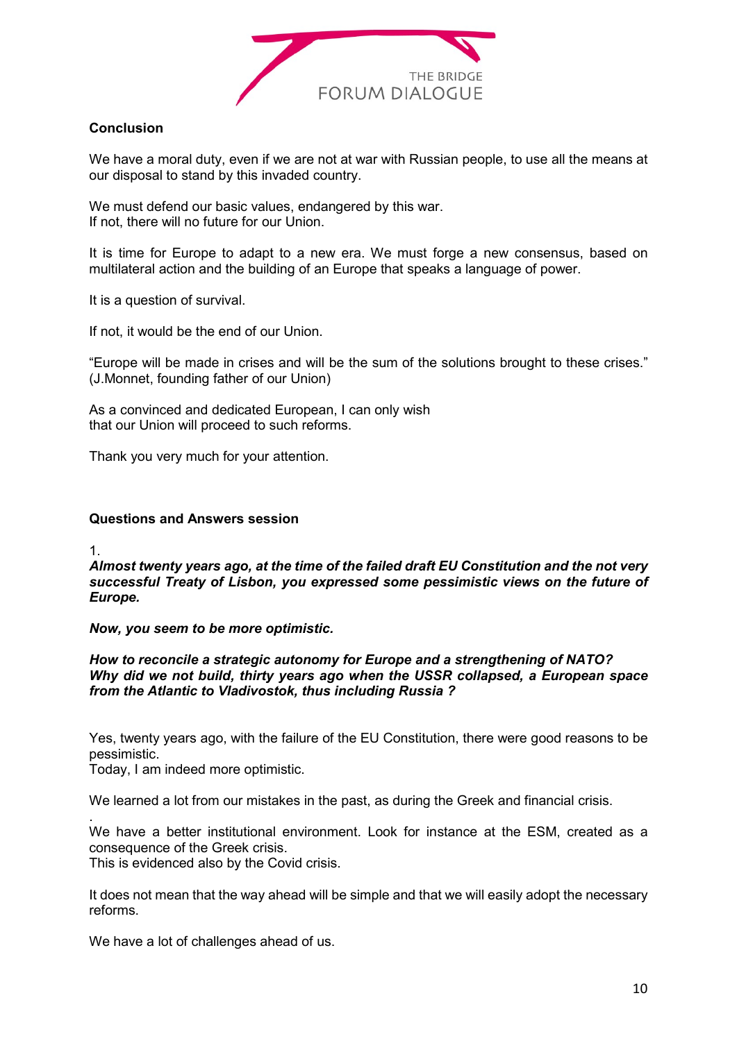

# **Conclusion**

We have a moral duty, even if we are not at war with Russian people, to use all the means at our disposal to stand by this invaded country.

We must defend our basic values, endangered by this war. If not, there will no future for our Union.

It is time for Europe to adapt to a new era. We must forge a new consensus, based on multilateral action and the building of an Europe that speaks a language of power.

It is a question of survival.

If not, it would be the end of our Union.

"Europe will be made in crises and will be the sum of the solutions brought to these crises." (J.Monnet, founding father of our Union)

As a convinced and dedicated European, I can only wish that our Union will proceed to such reforms.

Thank you very much for your attention.

#### **Questions and Answers session**

1.

.

*Almost twenty years ago, at the time of the failed draft EU Constitution and the not very successful Treaty of Lisbon, you expressed some pessimistic views on the future of Europe.*

*Now, you seem to be more optimistic.*

*How to reconcile a strategic autonomy for Europe and a strengthening of NATO? Why did we not build, thirty years ago when the USSR collapsed, a European space from the Atlantic to Vladivostok, thus including Russia ?*

Yes, twenty years ago, with the failure of the EU Constitution, there were good reasons to be pessimistic.

Today, I am indeed more optimistic.

We learned a lot from our mistakes in the past, as during the Greek and financial crisis.

We have a better institutional environment. Look for instance at the ESM, created as a consequence of the Greek crisis.

This is evidenced also by the Covid crisis.

It does not mean that the way ahead will be simple and that we will easily adopt the necessary reforms.

We have a lot of challenges ahead of us.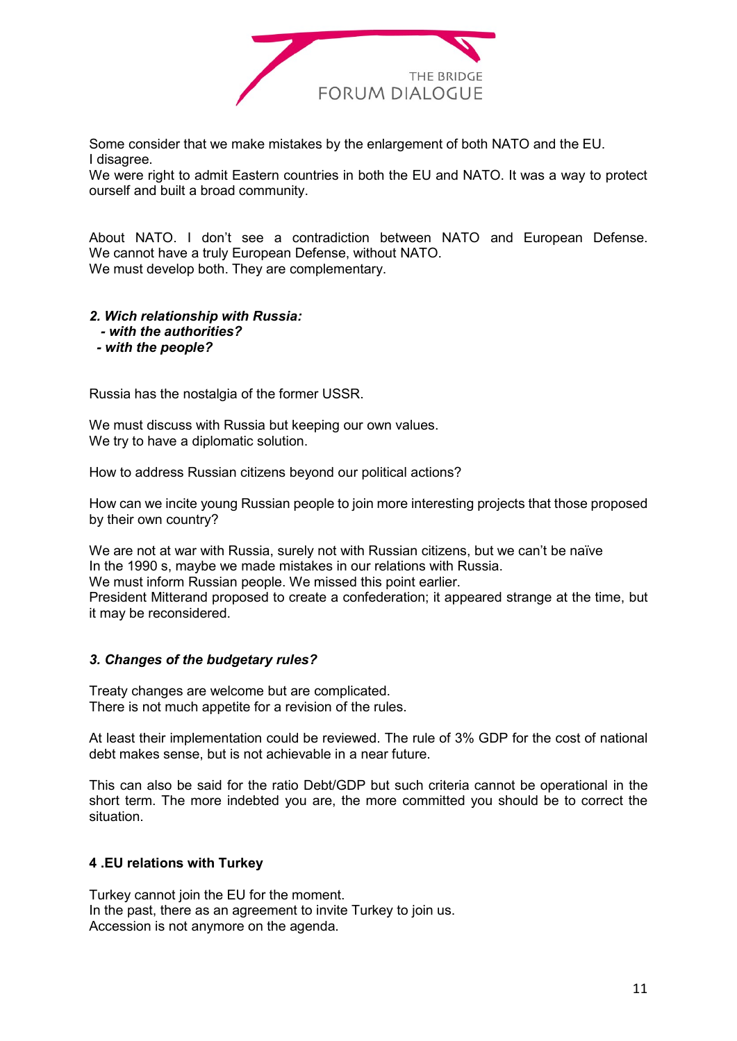

Some consider that we make mistakes by the enlargement of both NATO and the EU. I disagree.

We were right to admit Eastern countries in both the EU and NATO. It was a way to protect ourself and built a broad community.

About NATO. I don't see a contradiction between NATO and European Defense. We cannot have a truly European Defense, without NATO. We must develop both. They are complementary.

# *2. Wich relationship with Russia:*

- *- with the authorities?*
- *- with the people?*

Russia has the nostalgia of the former USSR.

We must discuss with Russia but keeping our own values. We try to have a diplomatic solution.

How to address Russian citizens beyond our political actions?

How can we incite young Russian people to join more interesting projects that those proposed by their own country?

We are not at war with Russia, surely not with Russian citizens, but we can't be naïve In the 1990 s, maybe we made mistakes in our relations with Russia. We must inform Russian people. We missed this point earlier. President Mitterand proposed to create a confederation; it appeared strange at the time, but

it may be reconsidered.

# *3. Changes of the budgetary rules?*

Treaty changes are welcome but are complicated. There is not much appetite for a revision of the rules.

At least their implementation could be reviewed. The rule of 3% GDP for the cost of national debt makes sense, but is not achievable in a near future.

This can also be said for the ratio Debt/GDP but such criteria cannot be operational in the short term. The more indebted you are, the more committed you should be to correct the situation.

# **4 .EU relations with Turkey**

Turkey cannot join the EU for the moment. In the past, there as an agreement to invite Turkey to join us. Accession is not anymore on the agenda.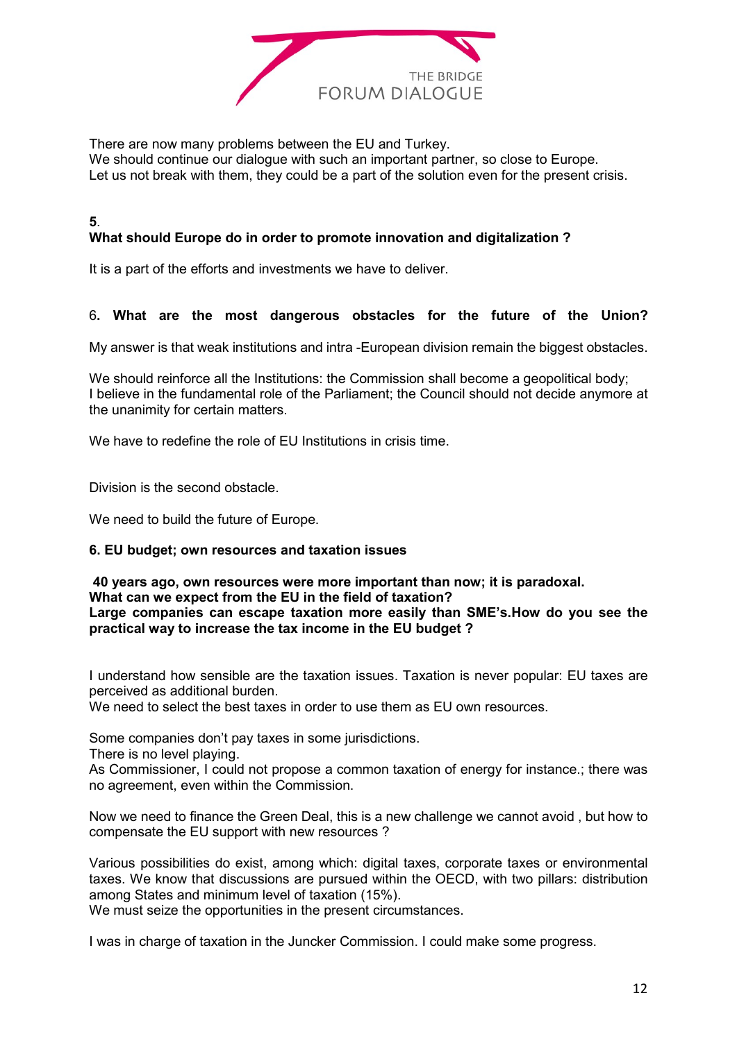

There are now many problems between the EU and Turkey.

We should continue our dialogue with such an important partner, so close to Europe. Let us not break with them, they could be a part of the solution even for the present crisis.

# **What should Europe do in order to promote innovation and digitalization ?**

It is a part of the efforts and investments we have to deliver.

# 6**. What are the most dangerous obstacles for the future of the Union?**

My answer is that weak institutions and intra -European division remain the biggest obstacles.

We should reinforce all the Institutions: the Commission shall become a geopolitical body; I believe in the fundamental role of the Parliament; the Council should not decide anymore at the unanimity for certain matters.

We have to redefine the role of EU Institutions in crisis time.

Division is the second obstacle.

**5**.

We need to build the future of Europe.

# **6. EU budget; own resources and taxation issues**

**40 years ago, own resources were more important than now; it is paradoxal. What can we expect from the EU in the field of taxation? Large companies can escape taxation more easily than SME's.How do you see the practical way to increase the tax income in the EU budget ?**

I understand how sensible are the taxation issues. Taxation is never popular: EU taxes are perceived as additional burden.

We need to select the best taxes in order to use them as EU own resources.

Some companies don't pay taxes in some jurisdictions.

There is no level playing.

As Commissioner, I could not propose a common taxation of energy for instance.; there was no agreement, even within the Commission.

Now we need to finance the Green Deal, this is a new challenge we cannot avoid , but how to compensate the EU support with new resources ?

Various possibilities do exist, among which: digital taxes, corporate taxes or environmental taxes. We know that discussions are pursued within the OECD, with two pillars: distribution among States and minimum level of taxation (15%).

We must seize the opportunities in the present circumstances.

I was in charge of taxation in the Juncker Commission. I could make some progress.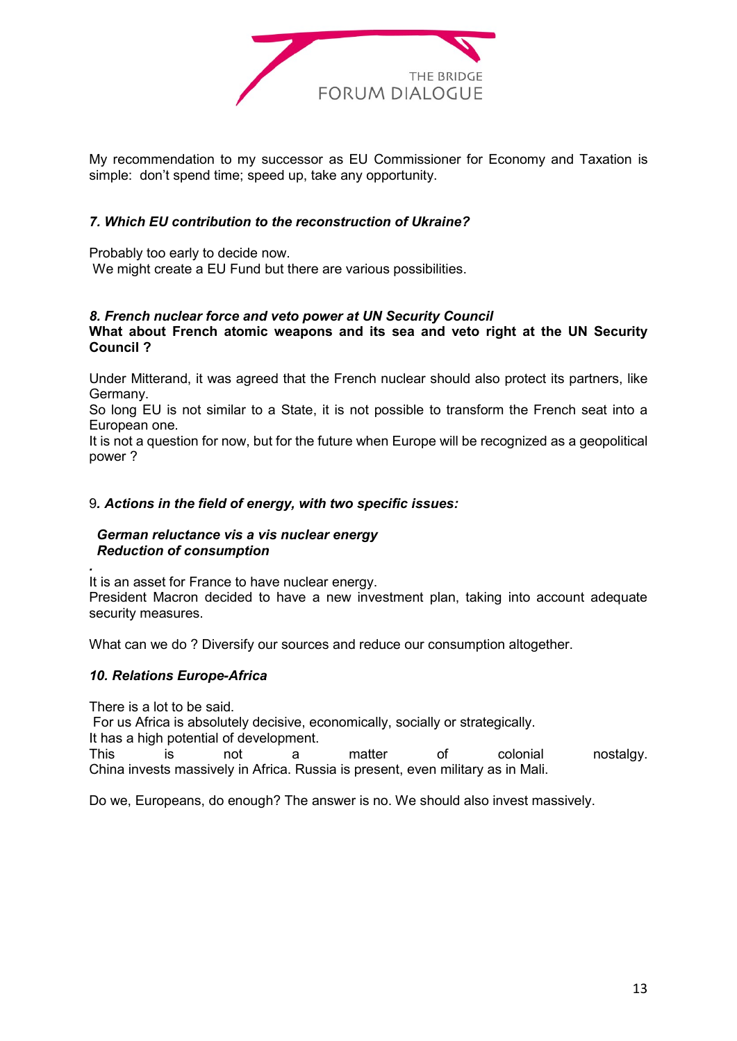

My recommendation to my successor as EU Commissioner for Economy and Taxation is simple: don't spend time; speed up, take any opportunity.

# *7. Which EU contribution to the reconstruction of Ukraine?*

Probably too early to decide now.

We might create a EU Fund but there are various possibilities.

#### *8. French nuclear force and veto power at UN Security Council*

#### **What about French atomic weapons and its sea and veto right at the UN Security Council ?**

Under Mitterand, it was agreed that the French nuclear should also protect its partners, like Germany.

So long EU is not similar to a State, it is not possible to transform the French seat into a European one.

It is not a question for now, but for the future when Europe will be recognized as a geopolitical power ?

# 9*. Actions in the field of energy, with two specific issues:*

#### *German reluctance vis a vis nuclear energy Reduction of consumption*

It is an asset for France to have nuclear energy. President Macron decided to have a new investment plan, taking into account adequate security measures.

What can we do ? Diversify our sources and reduce our consumption altogether.

# *10. Relations Europe-Africa*

There is a lot to be said.

*.*

For us Africa is absolutely decisive, economically, socially or strategically.

It has a high potential of development.

This is not a matter of colonial nostalgy. China invests massively in Africa. Russia is present, even military as in Mali.

Do we, Europeans, do enough? The answer is no. We should also invest massively.